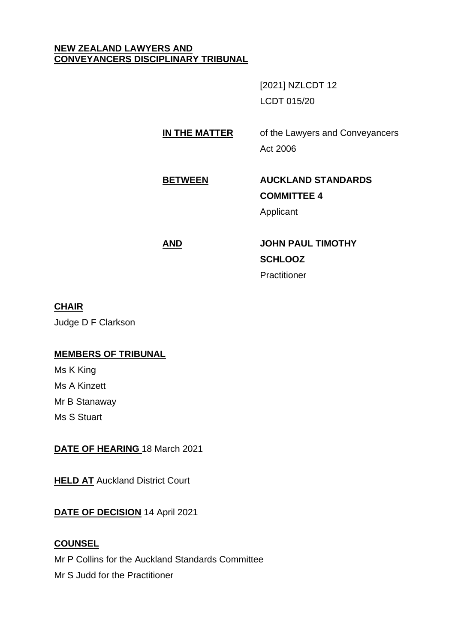### **NEW ZEALAND LAWYERS AND CONVEYANCERS DISCIPLINARY TRIBUNAL**

[2021] NZLCDT 12 LCDT 015/20

**IN THE MATTER** of the Lawyers and Conveyancers Act 2006

# **BETWEEN AUCKLAND STANDARDS COMMITTEE 4**

Applicant

# **AND JOHN PAUL TIMOTHY SCHLOOZ Practitioner**

# **CHAIR**

Judge D F Clarkson

# **MEMBERS OF TRIBUNAL**

Ms K King Ms A Kinzett Mr B Stanaway Ms S Stuart

**DATE OF HEARING** 18 March 2021

**HELD AT** Auckland District Court

**DATE OF DECISION** 14 April 2021

# **COUNSEL**

Mr P Collins for the Auckland Standards Committee

Mr S Judd for the Practitioner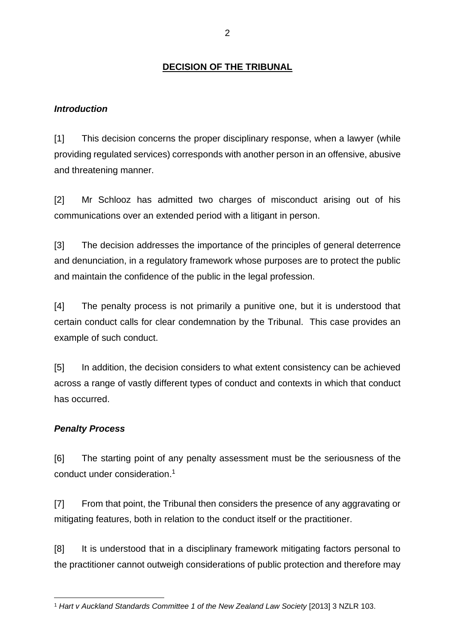# **DECISION OF THE TRIBUNAL**

### *Introduction*

[1] This decision concerns the proper disciplinary response, when a lawyer (while providing regulated services) corresponds with another person in an offensive, abusive and threatening manner.

[2] Mr Schlooz has admitted two charges of misconduct arising out of his communications over an extended period with a litigant in person.

[3] The decision addresses the importance of the principles of general deterrence and denunciation, in a regulatory framework whose purposes are to protect the public and maintain the confidence of the public in the legal profession.

[4] The penalty process is not primarily a punitive one, but it is understood that certain conduct calls for clear condemnation by the Tribunal. This case provides an example of such conduct.

[5] In addition, the decision considers to what extent consistency can be achieved across a range of vastly different types of conduct and contexts in which that conduct has occurred.

### *Penalty Process*

[6] The starting point of any penalty assessment must be the seriousness of the conduct under consideration.<sup>1</sup>

[7] From that point, the Tribunal then considers the presence of any aggravating or mitigating features, both in relation to the conduct itself or the practitioner.

[8] It is understood that in a disciplinary framework mitigating factors personal to the practitioner cannot outweigh considerations of public protection and therefore may

<sup>1</sup> *Hart v Auckland Standards Committee 1 of the New Zealand Law Society* [2013] 3 NZLR 103.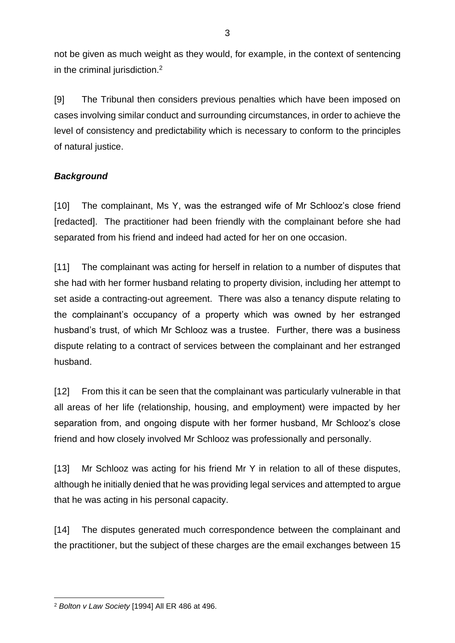not be given as much weight as they would, for example, in the context of sentencing in the criminal jurisdiction.<sup>2</sup>

[9] The Tribunal then considers previous penalties which have been imposed on cases involving similar conduct and surrounding circumstances, in order to achieve the level of consistency and predictability which is necessary to conform to the principles of natural justice.

# *Background*

[10] The complainant, Ms Y, was the estranged wife of Mr Schlooz's close friend [redacted]. The practitioner had been friendly with the complainant before she had separated from his friend and indeed had acted for her on one occasion.

[11] The complainant was acting for herself in relation to a number of disputes that she had with her former husband relating to property division, including her attempt to set aside a contracting-out agreement. There was also a tenancy dispute relating to the complainant's occupancy of a property which was owned by her estranged husband's trust, of which Mr Schlooz was a trustee. Further, there was a business dispute relating to a contract of services between the complainant and her estranged husband.

[12] From this it can be seen that the complainant was particularly vulnerable in that all areas of her life (relationship, housing, and employment) were impacted by her separation from, and ongoing dispute with her former husband, Mr Schlooz's close friend and how closely involved Mr Schlooz was professionally and personally.

[13] Mr Schlooz was acting for his friend Mr Y in relation to all of these disputes, although he initially denied that he was providing legal services and attempted to argue that he was acting in his personal capacity.

[14] The disputes generated much correspondence between the complainant and the practitioner, but the subject of these charges are the email exchanges between 15

<sup>2</sup> *Bolton v Law Society* [1994] All ER 486 at 496.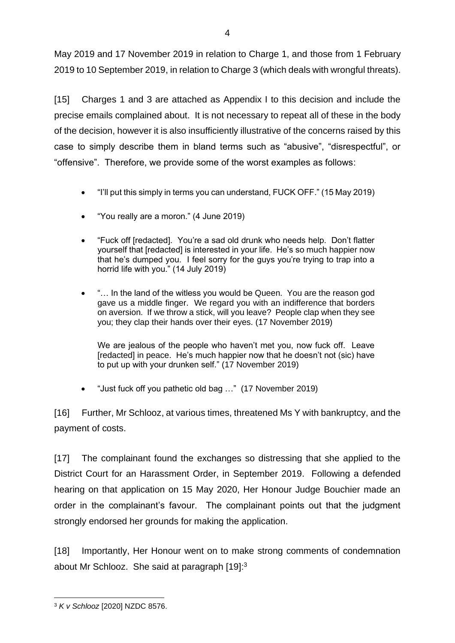May 2019 and 17 November 2019 in relation to Charge 1, and those from 1 February 2019 to 10 September 2019, in relation to Charge 3 (which deals with wrongful threats).

[15] Charges 1 and 3 are attached as Appendix I to this decision and include the precise emails complained about. It is not necessary to repeat all of these in the body of the decision, however it is also insufficiently illustrative of the concerns raised by this case to simply describe them in bland terms such as "abusive", "disrespectful", or "offensive". Therefore, we provide some of the worst examples as follows:

- "I'll put this simply in terms you can understand, FUCK OFF." (15 May 2019)
- "You really are a moron." (4 June 2019)
- "Fuck off [redacted]. You're a sad old drunk who needs help. Don't flatter yourself that [redacted] is interested in your life. He's so much happier now that he's dumped you. I feel sorry for the guys you're trying to trap into a horrid life with you." (14 July 2019)
- "… In the land of the witless you would be Queen. You are the reason god gave us a middle finger. We regard you with an indifference that borders on aversion. If we throw a stick, will you leave? People clap when they see you; they clap their hands over their eyes. (17 November 2019)

We are jealous of the people who haven't met you, now fuck off. Leave [redacted] in peace. He's much happier now that he doesn't not (sic) have to put up with your drunken self." (17 November 2019)

• "Just fuck off you pathetic old bag …" (17 November 2019)

[16] Further, Mr Schlooz, at various times, threatened Ms Y with bankruptcy, and the payment of costs.

[17] The complainant found the exchanges so distressing that she applied to the District Court for an Harassment Order, in September 2019. Following a defended hearing on that application on 15 May 2020, Her Honour Judge Bouchier made an order in the complainant's favour. The complainant points out that the judgment strongly endorsed her grounds for making the application.

[18] Importantly, Her Honour went on to make strong comments of condemnation about Mr Schlooz. She said at paragraph [19]:<sup>3</sup>

<sup>3</sup> *K v Schlooz* [2020] NZDC 8576.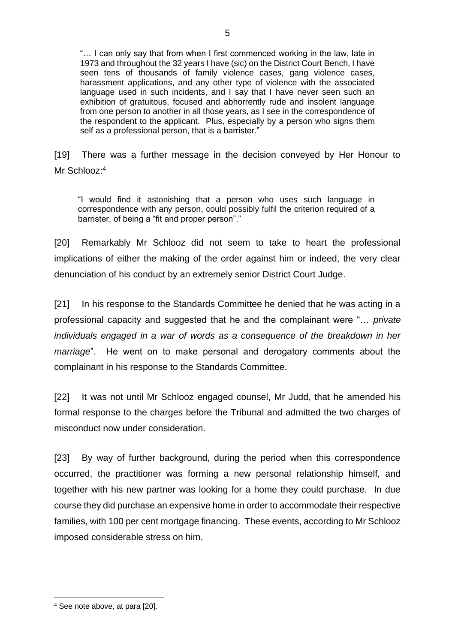"… I can only say that from when I first commenced working in the law, late in 1973 and throughout the 32 years I have (sic) on the District Court Bench, I have seen tens of thousands of family violence cases, gang violence cases, harassment applications, and any other type of violence with the associated language used in such incidents, and I say that I have never seen such an exhibition of gratuitous, focused and abhorrently rude and insolent language from one person to another in all those years, as I see in the correspondence of the respondent to the applicant. Plus, especially by a person who signs them self as a professional person, that is a barrister."

[19] There was a further message in the decision conveyed by Her Honour to Mr Schlooz:<sup>4</sup>

"I would find it astonishing that a person who uses such language in correspondence with any person, could possibly fulfil the criterion required of a barrister, of being a "fit and proper person"."

[20] Remarkably Mr Schlooz did not seem to take to heart the professional implications of either the making of the order against him or indeed, the very clear denunciation of his conduct by an extremely senior District Court Judge.

[21] In his response to the Standards Committee he denied that he was acting in a professional capacity and suggested that he and the complainant were "… *private individuals engaged in a war of words as a consequence of the breakdown in her marriage*". He went on to make personal and derogatory comments about the complainant in his response to the Standards Committee.

[22] It was not until Mr Schlooz engaged counsel, Mr Judd, that he amended his formal response to the charges before the Tribunal and admitted the two charges of misconduct now under consideration.

[23] By way of further background, during the period when this correspondence occurred, the practitioner was forming a new personal relationship himself, and together with his new partner was looking for a home they could purchase. In due course they did purchase an expensive home in order to accommodate their respective families, with 100 per cent mortgage financing. These events, according to Mr Schlooz imposed considerable stress on him.

<sup>4</sup> See note above, at para [20].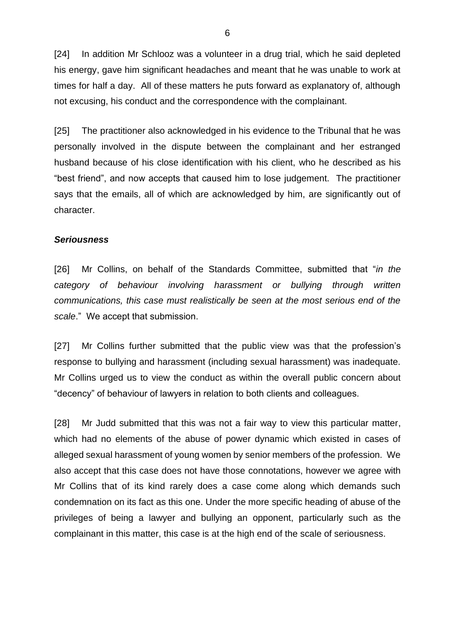[24] In addition Mr Schlooz was a volunteer in a drug trial, which he said depleted his energy, gave him significant headaches and meant that he was unable to work at times for half a day. All of these matters he puts forward as explanatory of, although not excusing, his conduct and the correspondence with the complainant.

[25] The practitioner also acknowledged in his evidence to the Tribunal that he was personally involved in the dispute between the complainant and her estranged husband because of his close identification with his client, who he described as his "best friend", and now accepts that caused him to lose judgement. The practitioner says that the emails, all of which are acknowledged by him, are significantly out of character.

#### *Seriousness*

[26] Mr Collins, on behalf of the Standards Committee, submitted that "*in the category of behaviour involving harassment or bullying through written communications, this case must realistically be seen at the most serious end of the scale*." We accept that submission.

[27] Mr Collins further submitted that the public view was that the profession's response to bullying and harassment (including sexual harassment) was inadequate. Mr Collins urged us to view the conduct as within the overall public concern about "decency" of behaviour of lawyers in relation to both clients and colleagues.

[28] Mr Judd submitted that this was not a fair way to view this particular matter, which had no elements of the abuse of power dynamic which existed in cases of alleged sexual harassment of young women by senior members of the profession. We also accept that this case does not have those connotations, however we agree with Mr Collins that of its kind rarely does a case come along which demands such condemnation on its fact as this one. Under the more specific heading of abuse of the privileges of being a lawyer and bullying an opponent, particularly such as the complainant in this matter, this case is at the high end of the scale of seriousness.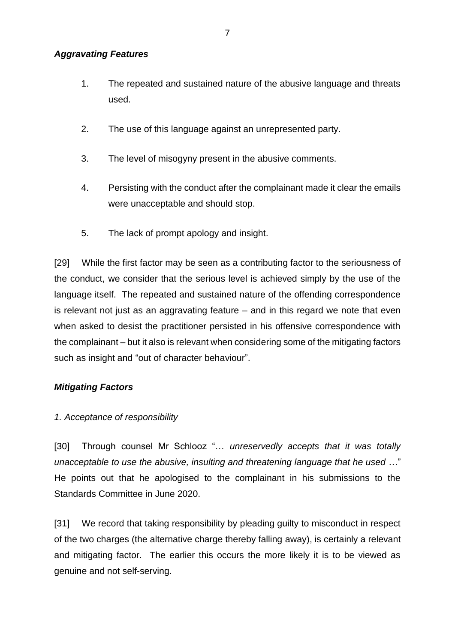### *Aggravating Features*

- 1. The repeated and sustained nature of the abusive language and threats used.
- 2. The use of this language against an unrepresented party.
- 3. The level of misogyny present in the abusive comments.
- 4. Persisting with the conduct after the complainant made it clear the emails were unacceptable and should stop.
- 5. The lack of prompt apology and insight.

[29] While the first factor may be seen as a contributing factor to the seriousness of the conduct, we consider that the serious level is achieved simply by the use of the language itself. The repeated and sustained nature of the offending correspondence is relevant not just as an aggravating feature – and in this regard we note that even when asked to desist the practitioner persisted in his offensive correspondence with the complainant – but it also is relevant when considering some of the mitigating factors such as insight and "out of character behaviour".

# *Mitigating Factors*

# *1. Acceptance of responsibility*

[30] Through counsel Mr Schlooz "… *unreservedly accepts that it was totally unacceptable to use the abusive, insulting and threatening language that he used* …" He points out that he apologised to the complainant in his submissions to the Standards Committee in June 2020.

[31] We record that taking responsibility by pleading guilty to misconduct in respect of the two charges (the alternative charge thereby falling away), is certainly a relevant and mitigating factor. The earlier this occurs the more likely it is to be viewed as genuine and not self-serving.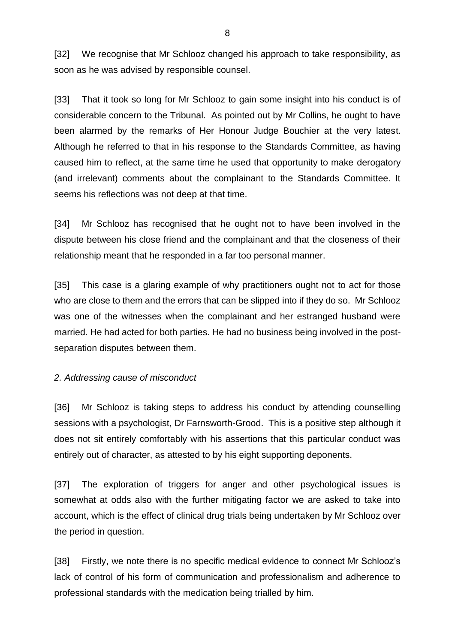[32] We recognise that Mr Schlooz changed his approach to take responsibility, as soon as he was advised by responsible counsel.

[33] That it took so long for Mr Schlooz to gain some insight into his conduct is of considerable concern to the Tribunal. As pointed out by Mr Collins, he ought to have been alarmed by the remarks of Her Honour Judge Bouchier at the very latest. Although he referred to that in his response to the Standards Committee, as having caused him to reflect, at the same time he used that opportunity to make derogatory (and irrelevant) comments about the complainant to the Standards Committee. It seems his reflections was not deep at that time.

[34] Mr Schlooz has recognised that he ought not to have been involved in the dispute between his close friend and the complainant and that the closeness of their relationship meant that he responded in a far too personal manner.

[35] This case is a glaring example of why practitioners ought not to act for those who are close to them and the errors that can be slipped into if they do so. Mr Schlooz was one of the witnesses when the complainant and her estranged husband were married. He had acted for both parties. He had no business being involved in the postseparation disputes between them.

# *2. Addressing cause of misconduct*

[36] Mr Schlooz is taking steps to address his conduct by attending counselling sessions with a psychologist, Dr Farnsworth-Grood. This is a positive step although it does not sit entirely comfortably with his assertions that this particular conduct was entirely out of character, as attested to by his eight supporting deponents.

[37] The exploration of triggers for anger and other psychological issues is somewhat at odds also with the further mitigating factor we are asked to take into account, which is the effect of clinical drug trials being undertaken by Mr Schlooz over the period in question.

[38] Firstly, we note there is no specific medical evidence to connect Mr Schlooz's lack of control of his form of communication and professionalism and adherence to professional standards with the medication being trialled by him.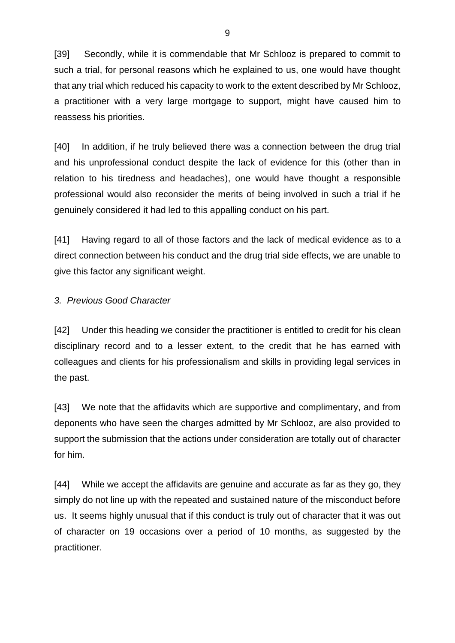[39] Secondly, while it is commendable that Mr Schlooz is prepared to commit to such a trial, for personal reasons which he explained to us, one would have thought that any trial which reduced his capacity to work to the extent described by Mr Schlooz, a practitioner with a very large mortgage to support, might have caused him to reassess his priorities.

[40] In addition, if he truly believed there was a connection between the drug trial and his unprofessional conduct despite the lack of evidence for this (other than in relation to his tiredness and headaches), one would have thought a responsible professional would also reconsider the merits of being involved in such a trial if he genuinely considered it had led to this appalling conduct on his part.

[41] Having regard to all of those factors and the lack of medical evidence as to a direct connection between his conduct and the drug trial side effects, we are unable to give this factor any significant weight.

### *3. Previous Good Character*

[42] Under this heading we consider the practitioner is entitled to credit for his clean disciplinary record and to a lesser extent, to the credit that he has earned with colleagues and clients for his professionalism and skills in providing legal services in the past.

[43] We note that the affidavits which are supportive and complimentary, and from deponents who have seen the charges admitted by Mr Schlooz, are also provided to support the submission that the actions under consideration are totally out of character for him.

[44] While we accept the affidavits are genuine and accurate as far as they go, they simply do not line up with the repeated and sustained nature of the misconduct before us. It seems highly unusual that if this conduct is truly out of character that it was out of character on 19 occasions over a period of 10 months, as suggested by the practitioner.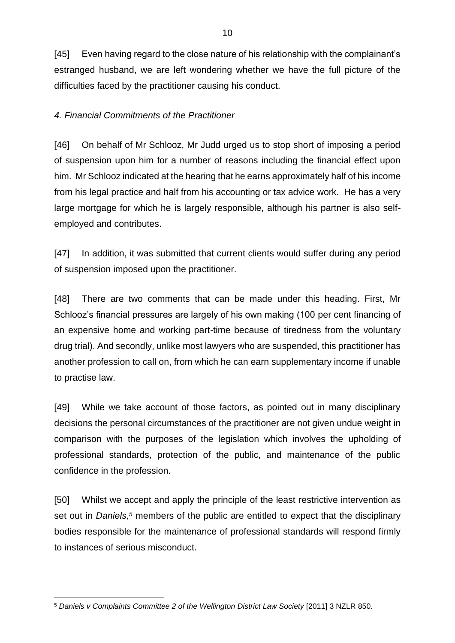[45] Even having regard to the close nature of his relationship with the complainant's estranged husband, we are left wondering whether we have the full picture of the difficulties faced by the practitioner causing his conduct.

### *4. Financial Commitments of the Practitioner*

[46] On behalf of Mr Schlooz, Mr Judd urged us to stop short of imposing a period of suspension upon him for a number of reasons including the financial effect upon him. Mr Schlooz indicated at the hearing that he earns approximately half of his income from his legal practice and half from his accounting or tax advice work. He has a very large mortgage for which he is largely responsible, although his partner is also selfemployed and contributes.

[47] In addition, it was submitted that current clients would suffer during any period of suspension imposed upon the practitioner.

[48] There are two comments that can be made under this heading. First, Mr Schlooz's financial pressures are largely of his own making (100 per cent financing of an expensive home and working part-time because of tiredness from the voluntary drug trial). And secondly, unlike most lawyers who are suspended, this practitioner has another profession to call on, from which he can earn supplementary income if unable to practise law.

[49] While we take account of those factors, as pointed out in many disciplinary decisions the personal circumstances of the practitioner are not given undue weight in comparison with the purposes of the legislation which involves the upholding of professional standards, protection of the public, and maintenance of the public confidence in the profession.

[50] Whilst we accept and apply the principle of the least restrictive intervention as set out in *Daniels,<sup>5</sup>* members of the public are entitled to expect that the disciplinary bodies responsible for the maintenance of professional standards will respond firmly to instances of serious misconduct.

<sup>5</sup> *Daniels v Complaints Committee 2 of the Wellington District Law Society* [2011] 3 NZLR 850.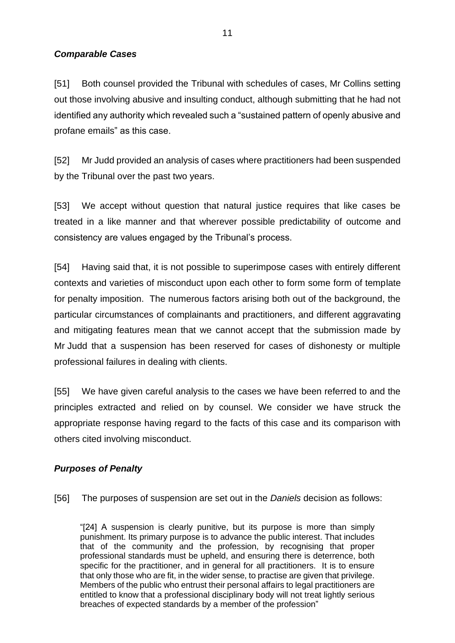### *Comparable Cases*

[51] Both counsel provided the Tribunal with schedules of cases, Mr Collins setting out those involving abusive and insulting conduct, although submitting that he had not identified any authority which revealed such a "sustained pattern of openly abusive and profane emails" as this case.

[52] Mr Judd provided an analysis of cases where practitioners had been suspended by the Tribunal over the past two years.

[53] We accept without question that natural justice requires that like cases be treated in a like manner and that wherever possible predictability of outcome and consistency are values engaged by the Tribunal's process.

[54] Having said that, it is not possible to superimpose cases with entirely different contexts and varieties of misconduct upon each other to form some form of template for penalty imposition. The numerous factors arising both out of the background, the particular circumstances of complainants and practitioners, and different aggravating and mitigating features mean that we cannot accept that the submission made by Mr Judd that a suspension has been reserved for cases of dishonesty or multiple professional failures in dealing with clients.

[55] We have given careful analysis to the cases we have been referred to and the principles extracted and relied on by counsel. We consider we have struck the appropriate response having regard to the facts of this case and its comparison with others cited involving misconduct.

# *Purposes of Penalty*

[56] The purposes of suspension are set out in the *Daniels* decision as follows:

"[24] A suspension is clearly punitive, but its purpose is more than simply punishment. Its primary purpose is to advance the public interest. That includes that of the community and the profession, by recognising that proper professional standards must be upheld, and ensuring there is deterrence, both specific for the practitioner, and in general for all practitioners. It is to ensure that only those who are fit, in the wider sense, to practise are given that privilege. Members of the public who entrust their personal affairs to legal practitioners are entitled to know that a professional disciplinary body will not treat lightly serious breaches of expected standards by a member of the profession"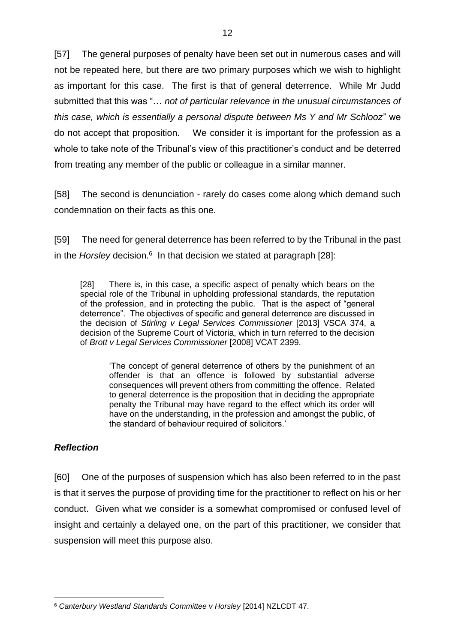[57] The general purposes of penalty have been set out in numerous cases and will not be repeated here, but there are two primary purposes which we wish to highlight as important for this case. The first is that of general deterrence. While Mr Judd submitted that this was "… *not of particular relevance in the unusual circumstances of this case, which is essentially a personal dispute between Ms Y and Mr Schlooz*" we do not accept that proposition. We consider it is important for the profession as a whole to take note of the Tribunal's view of this practitioner's conduct and be deterred from treating any member of the public or colleague in a similar manner.

[58] The second is denunciation - rarely do cases come along which demand such condemnation on their facts as this one.

[59] The need for general deterrence has been referred to by the Tribunal in the past in the *Horsley* decision.<sup>6</sup> In that decision we stated at paragraph [28]:

[28] There is, in this case, a specific aspect of penalty which bears on the special role of the Tribunal in upholding professional standards, the reputation of the profession, and in protecting the public. That is the aspect of "general deterrence". The objectives of specific and general deterrence are discussed in the decision of *Stirling v Legal Services Commissioner* [2013] VSCA 374, a decision of the Supreme Court of Victoria, which in turn referred to the decision of *Brott v Legal Services Commissioner* [2008] VCAT 2399.

'The concept of general deterrence of others by the punishment of an offender is that an offence is followed by substantial adverse consequences will prevent others from committing the offence. Related to general deterrence is the proposition that in deciding the appropriate penalty the Tribunal may have regard to the effect which its order will have on the understanding, in the profession and amongst the public, of the standard of behaviour required of solicitors.'

### *Reflection*

[60] One of the purposes of suspension which has also been referred to in the past is that it serves the purpose of providing time for the practitioner to reflect on his or her conduct. Given what we consider is a somewhat compromised or confused level of insight and certainly a delayed one, on the part of this practitioner, we consider that suspension will meet this purpose also.

<sup>6</sup> *Canterbury Westland Standards Committee v Horsley* [2014] NZLCDT 47.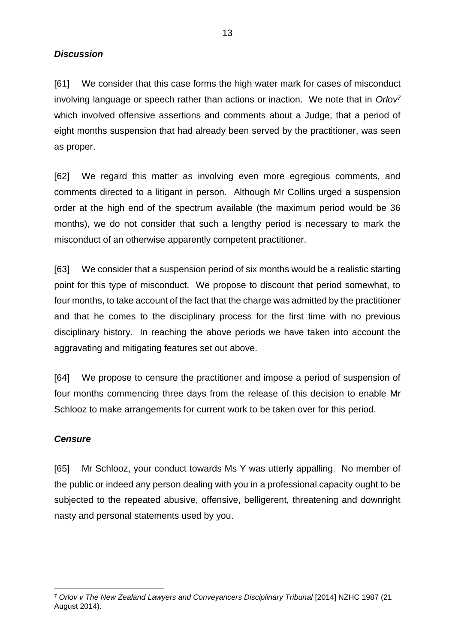*Discussion*

[61] We consider that this case forms the high water mark for cases of misconduct involving language or speech rather than actions or inaction. We note that in *Orlov<sup>7</sup>* which involved offensive assertions and comments about a Judge, that a period of eight months suspension that had already been served by the practitioner, was seen as proper.

[62] We regard this matter as involving even more egregious comments, and comments directed to a litigant in person. Although Mr Collins urged a suspension order at the high end of the spectrum available (the maximum period would be 36 months), we do not consider that such a lengthy period is necessary to mark the misconduct of an otherwise apparently competent practitioner.

[63] We consider that a suspension period of six months would be a realistic starting point for this type of misconduct. We propose to discount that period somewhat, to four months, to take account of the fact that the charge was admitted by the practitioner and that he comes to the disciplinary process for the first time with no previous disciplinary history. In reaching the above periods we have taken into account the aggravating and mitigating features set out above.

[64] We propose to censure the practitioner and impose a period of suspension of four months commencing three days from the release of this decision to enable Mr Schlooz to make arrangements for current work to be taken over for this period.

# *Censure*

[65] Mr Schlooz, your conduct towards Ms Y was utterly appalling. No member of the public or indeed any person dealing with you in a professional capacity ought to be subjected to the repeated abusive, offensive, belligerent, threatening and downright nasty and personal statements used by you.

<sup>7</sup> *Orlov v The New Zealand Lawyers and Conveyancers Disciplinary Tribunal* [2014] NZHC 1987 (21 August 2014).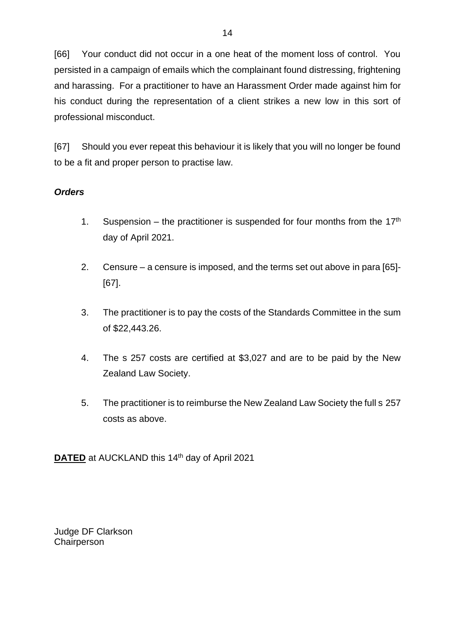[66] Your conduct did not occur in a one heat of the moment loss of control. You persisted in a campaign of emails which the complainant found distressing, frightening and harassing. For a practitioner to have an Harassment Order made against him for his conduct during the representation of a client strikes a new low in this sort of professional misconduct.

[67] Should you ever repeat this behaviour it is likely that you will no longer be found to be a fit and proper person to practise law.

# *Orders*

- 1. Suspension the practitioner is suspended for four months from the  $17<sup>th</sup>$ day of April 2021.
- 2. Censure a censure is imposed, and the terms set out above in para [65]- [67].
- 3. The practitioner is to pay the costs of the Standards Committee in the sum of \$22,443.26.
- 4. The s 257 costs are certified at \$3,027 and are to be paid by the New Zealand Law Society.
- 5. The practitioner is to reimburse the New Zealand Law Society the full s 257 costs as above.

**DATED** at AUCKLAND this 14<sup>th</sup> day of April 2021

Judge DF Clarkson **Chairperson**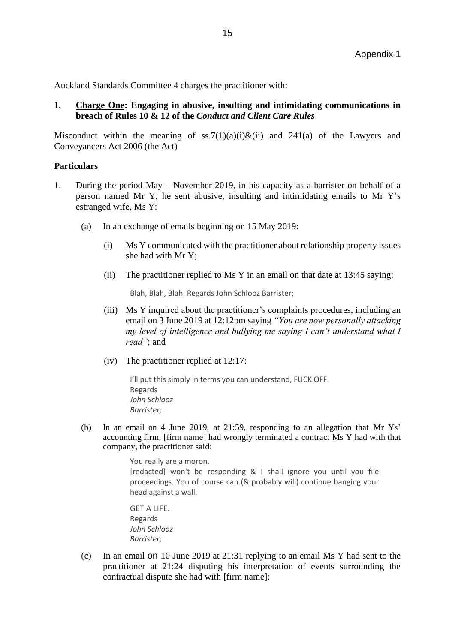Auckland Standards Committee 4 charges the practitioner with:

### **1. Charge One: Engaging in abusive, insulting and intimidating communications in breach of Rules 10 & 12 of the** *Conduct and Client Care Rules*

Misconduct within the meaning of ss.7(1)(a)(i)&(ii) and 241(a) of the Lawyers and Conveyancers Act 2006 (the Act)

### **Particulars**

- 1. During the period May November 2019, in his capacity as a barrister on behalf of a person named Mr Y, he sent abusive, insulting and intimidating emails to Mr Y's estranged wife, Ms Y:
	- (a) In an exchange of emails beginning on 15 May 2019:
		- (i) Ms Y communicated with the practitioner about relationship property issues she had with Mr Y;
		- (ii) The practitioner replied to Ms Y in an email on that date at 13:45 saying:

Blah, Blah, Blah. Regards John Schlooz Barrister;

- (iii) Ms Y inquired about the practitioner's complaints procedures, including an email on 3 June 2019 at 12:12pm saying *"You are now personally attacking my level of intelligence and bullying me saying I can't understand what I read"*; and
- (iv) The practitioner replied at 12:17:

I'll put this simply in terms you can understand, FUCK OFF. Regards *John Schlooz Barrister;*

(b) In an email on 4 June 2019, at 21:59, responding to an allegation that Mr Ys' accounting firm, [firm name] had wrongly terminated a contract Ms Y had with that company, the practitioner said:

> You really are a moron. [redacted] won't be responding & I shall ignore you until you file proceedings. You of course can (& probably will) continue banging your head against a wall.

GET A LIFE. Regards *John Schlooz Barrister;*

(c) In an email on 10 June 2019 at 21:31 replying to an email Ms Y had sent to the practitioner at 21:24 disputing his interpretation of events surrounding the contractual dispute she had with [firm name]: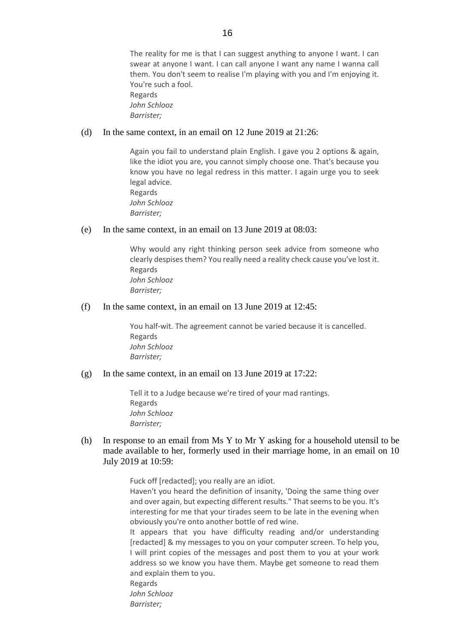The reality for me is that I can suggest anything to anyone I want. I can swear at anyone I want. I can call anyone I want any name I wanna call them. You don't seem to realise I'm playing with you and I'm enjoying it. You're such a fool. Regards *John Schlooz Barrister;*

#### (d) In the same context, in an email on 12 June 2019 at 21:26:

Again you fail to understand plain English. I gave you 2 options & again, like the idiot you are, you cannot simply choose one. That's because you know you have no legal redress in this matter. I again urge you to seek legal advice. Regards *John Schlooz Barrister;*

#### (e) In the same context, in an email on 13 June 2019 at 08:03:

Why would any right thinking person seek advice from someone who clearly despises them? You really need a reality check cause you've lost it. Regards *John Schlooz Barrister;*

#### (f) In the same context, in an email on 13 June 2019 at 12:45:

You half-wit. The agreement cannot be varied because it is cancelled. Regards *John Schlooz Barrister;*

#### (g) In the same context, in an email on 13 June 2019 at 17:22:

Tell it to a Judge because we're tired of your mad rantings. Regards *John Schlooz Barrister;*

### (h) In response to an email from Ms Y to Mr Y asking for a household utensil to be made available to her, formerly used in their marriage home, in an email on 10 July 2019 at 10:59:

Fuck off [redacted]; you really are an idiot. Haven't you heard the definition of insanity, 'Doing the same thing over and over again, but expecting different results." That seems to be you. It's interesting for me that your tirades seem to be late in the evening when obviously you're onto another bottle of red wine. It appears that you have difficulty reading and/or understanding [redacted] & my messages to you on your computer screen. To help you, I will print copies of the messages and post them to you at your work address so we know you have them. Maybe get someone to read them and explain them to you. Regards *John Schlooz Barrister;*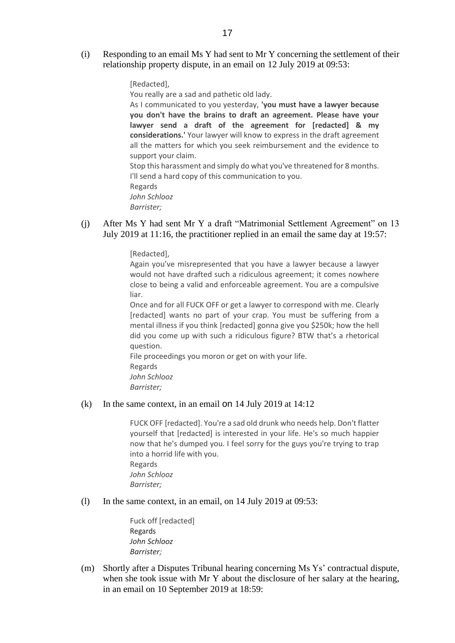(i) Responding to an email Ms Y had sent to Mr Y concerning the settlement of their relationship property dispute, in an email on 12 July 2019 at 09:53:

[Redacted],

You really are a sad and pathetic old lady.

As I communicated to you yesterday, **'you must have a lawyer because you don't have the brains to draft an agreement. Please have your lawyer send a draft of the agreement for [redacted] & my considerations.'** Your lawyer will know to express in the draft agreement all the matters for which you seek reimbursement and the evidence to support your claim.

Stop this harassment and simply do what you've threatened for 8 months. I'll send a hard copy of this communication to you. Regards *John Schlooz* 

- *Barrister;*
- (j) After Ms Y had sent Mr Y a draft "Matrimonial Settlement Agreement" on 13 July 2019 at 11:16, the practitioner replied in an email the same day at 19:57:

[Redacted],

Again you've misrepresented that you have a lawyer because a lawyer would not have drafted such a ridiculous agreement; it comes nowhere close to being a valid and enforceable agreement. You are a compulsive liar.

Once and for all FUCK OFF or get a lawyer to correspond with me. Clearly [redacted] wants no part of your crap. You must be suffering from a mental illness if you think [redacted] gonna give you \$250k; how the hell did you come up with such a ridiculous figure? BTW that's a rhetorical question.

File proceedings you moron or get on with your life.

Regards

*John Schlooz Barrister;*

#### (k) In the same context, in an email on 14 July 2019 at 14:12

FUCK OFF [redacted]. You're a sad old drunk who needs help. Don't flatter yourself that [redacted] is interested in your life. He's so much happier now that he's dumped you. I feel sorry for the guys you're trying to trap into a horrid life with you. Regards *John Schlooz* 

*Barrister;*

(l) In the same context, in an email, on 14 July 2019 at 09:53:

Fuck off [redacted] Regards *John Schlooz Barrister;*

(m) Shortly after a Disputes Tribunal hearing concerning Ms Ys' contractual dispute, when she took issue with Mr Y about the disclosure of her salary at the hearing, in an email on 10 September 2019 at 18:59: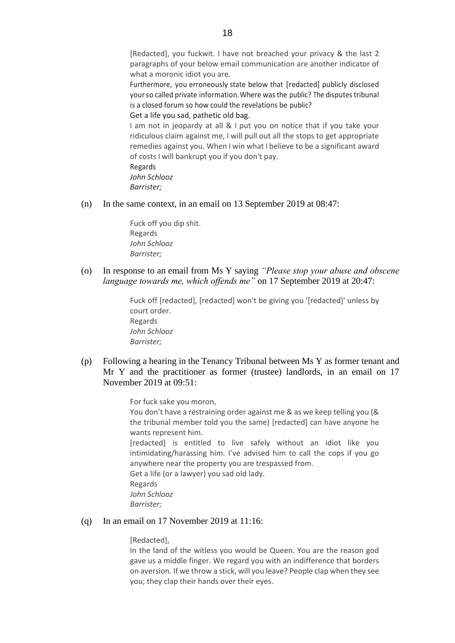[Redacted], you fuckwit. I have not breached your privacy & the last 2 paragraphs of your below email communication are another indicator of what a moronic idiot you are.

Furthermore, you erroneously state below that [redacted] publicly disclosed yourso called private information. Where was the public? The disputes tribunal is a closed forum so how could the revelations be public?

#### Get a life you sad, pathetic old bag.

I am not in jeopardy at all & I put you on notice that if you take your ridiculous claim against me, I will pull out all the stops to get appropriate remedies against you. When I win what I believe to be a significant award of costs I will bankrupt you if you don't pay.

Regards *John Schlooz Barrister;*

(n) In the same context, in an email on 13 September 2019 at 08:47:

Fuck off you dip shit. Regards *John Schlooz Barrister;*

(o) In response to an email from Ms Y saying *"Please stop your abuse and obscene language towards me, which offends me"* on 17 September 2019 at 20:47:

> Fuck off [redacted], [redacted] won't be giving you '[redacted]' unless by court order. Regards *John Schlooz Barrister;*

(p) Following a hearing in the Tenancy Tribunal between Ms Y as former tenant and Mr Y and the practitioner as former (trustee) landlords, in an email on 17 November 2019 at 09:51:

For fuck sake you moron,

You don't have a restraining order against me & as we keep telling you (& the tribunal member told you the same) [redacted] can have anyone he wants represent him.

[redacted] is entitled to live safely without an idiot like you intimidating/harassing him. I've advised him to call the cops if you go anywhere near the property you are trespassed from.

Get a life (or a lawyer) you sad old lady.

Regards

*John Schlooz* 

*Barrister;*

#### (q) In an email on 17 November 2019 at 11:16:

#### [Redacted],

In the land of the witless you would be Queen. You are the reason god gave us a middle finger. We regard you with an indifference that borders on aversion. If we throw a stick, will you leave? People clap when they see you; they clap their hands over their eyes.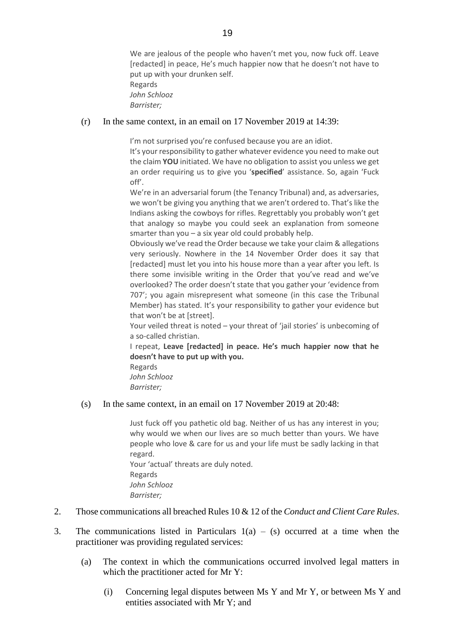We are jealous of the people who haven't met you, now fuck off. Leave [redacted] in peace, He's much happier now that he doesn't not have to put up with your drunken self. Regards *John Schlooz Barrister;*

#### (r) In the same context, in an email on 17 November 2019 at 14:39:

I'm not surprised you're confused because you are an idiot.

It's your responsibility to gather whatever evidence you need to make out the claim **YOU** initiated. We have no obligation to assist you unless we get an order requiring us to give you '**specified**' assistance. So, again 'Fuck off'.

We're in an adversarial forum (the Tenancy Tribunal) and, as adversaries, we won't be giving you anything that we aren't ordered to. That's like the Indians asking the cowboys for rifles. Regrettably you probably won't get that analogy so maybe you could seek an explanation from someone smarter than you – a six year old could probably help.

Obviously we've read the Order because we take your claim & allegations very seriously. Nowhere in the 14 November Order does it say that [redacted] must let you into his house more than a year after you left. Is there some invisible writing in the Order that you've read and we've overlooked? The order doesn't state that you gather your 'evidence from 707'; you again misrepresent what someone (in this case the Tribunal Member) has stated. It's your responsibility to gather your evidence but that won't be at [street].

Your veiled threat is noted – your threat of 'jail stories' is unbecoming of a so-called christian.

I repeat, **Leave [redacted] in peace. He's much happier now that he doesn't have to put up with you.**

Regards *John Schlooz Barrister;*

(s) In the same context, in an email on 17 November 2019 at 20:48:

Just fuck off you pathetic old bag. Neither of us has any interest in you; why would we when our lives are so much better than yours. We have people who love & care for us and your life must be sadly lacking in that regard. Your 'actual' threats are duly noted. Regards *John Schlooz Barrister;*

- 2. Those communications all breached Rules 10 & 12 of the *Conduct and Client Care Rules*.
- 3. The communications listed in Particulars  $1(a) (s)$  occurred at a time when the practitioner was providing regulated services:
	- (a) The context in which the communications occurred involved legal matters in which the practitioner acted for Mr Y:
		- (i) Concerning legal disputes between Ms Y and Mr Y, or between Ms Y and entities associated with Mr Y; and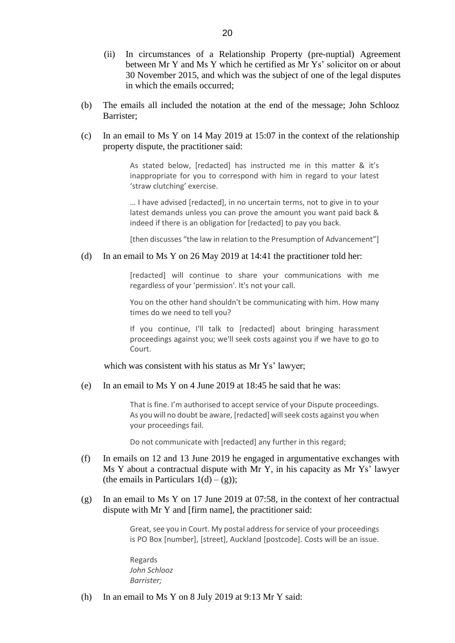- (ii) In circumstances of a Relationship Property (pre-nuptial) Agreement between Mr Y and Ms Y which he certified as Mr Ys' solicitor on or about 30 November 2015, and which was the subject of one of the legal disputes in which the emails occurred;
- (b) The emails all included the notation at the end of the message; John Schlooz Barrister;
- (c) In an email to Ms Y on 14 May 2019 at 15:07 in the context of the relationship property dispute, the practitioner said:

As stated below, [redacted] has instructed me in this matter & it's inappropriate for you to correspond with him in regard to your latest 'straw clutching' exercise.

… I have advised [redacted], in no uncertain terms, not to give in to your latest demands unless you can prove the amount you want paid back & indeed if there is an obligation for [redacted] to pay you back.

[then discusses "the law in relation to the Presumption of Advancement"]

#### (d) In an email to Ms Y on 26 May 2019 at 14:41 the practitioner told her:

[redacted] will continue to share your communications with me regardless of your 'permission'. It's not your call.

You on the other hand shouldn't be communicating with him. How many times do we need to tell you?

If you continue, I'll talk to [redacted] about bringing harassment proceedings against you; we'll seek costs against you if we have to go to Court.

which was consistent with his status as Mr Ys' lawyer;

(e) In an email to Ms Y on 4 June 2019 at 18:45 he said that he was:

That is fine. I'm authorised to accept service of your Dispute proceedings. As you will no doubt be aware, [redacted] will seek costs against you when your proceedings fail.

Do not communicate with [redacted] any further in this regard;

- (f) In emails on 12 and 13 June 2019 he engaged in argumentative exchanges with Ms Y about a contractual dispute with Mr Y, in his capacity as Mr Ys' lawyer (the emails in Particulars  $1(d) - (g)$ );
- (g) In an email to Ms Y on 17 June 2019 at 07:58, in the context of her contractual dispute with Mr Y and [firm name], the practitioner said:

Great, see you in Court. My postal address for service of your proceedings is PO Box [number], [street], Auckland [postcode]. Costs will be an issue.

Regards *John Schlooz Barrister;*

(h) In an email to Ms Y on 8 July 2019 at 9:13 Mr Y said: